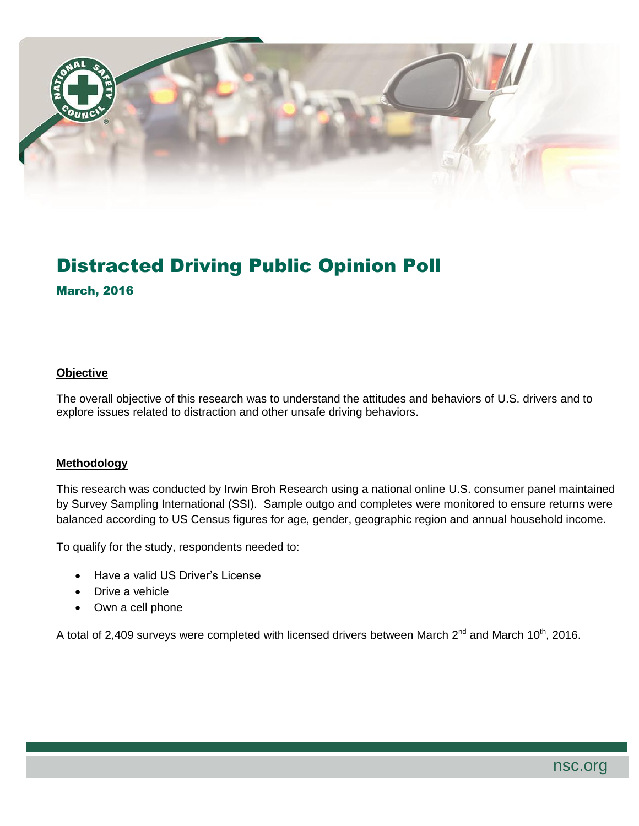

# Distracted Driving Public Opinion Poll

### March, 2016

#### **Objective**

The overall objective of this research was to understand the attitudes and behaviors of U.S. drivers and to explore issues related to distraction and other unsafe driving behaviors.

#### **Methodology**

This research was conducted by Irwin Broh Research using a national online U.S. consumer panel maintained by Survey Sampling International (SSI). Sample outgo and completes were monitored to ensure returns were balanced according to US Census figures for age, gender, geographic region and annual household income.

To qualify for the study, respondents needed to:

- Have a valid US Driver's License
- Drive a vehicle
- Own a cell phone

A total of 2,409 surveys were completed with licensed drivers between March  $2^{nd}$  and March 10<sup>th</sup>, 2016.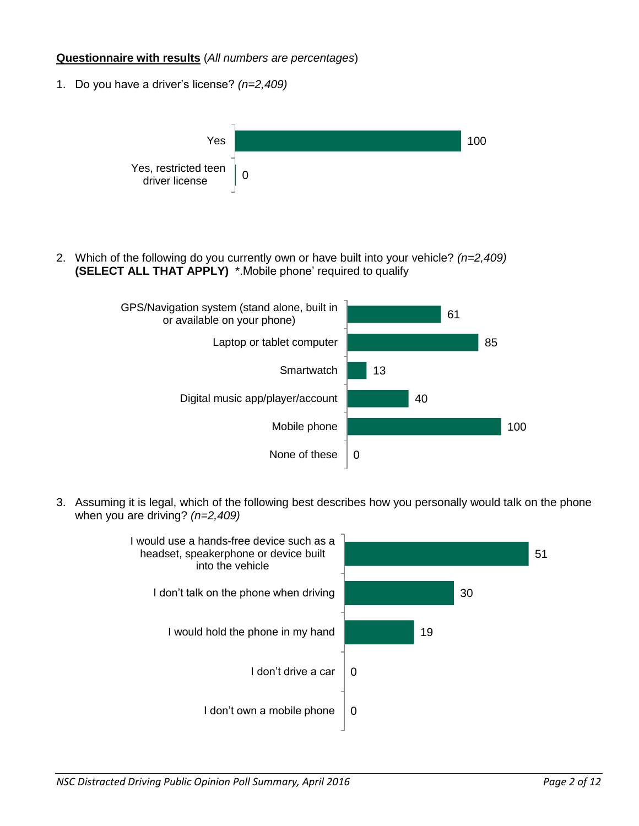#### **Questionnaire with results** (*All numbers are percentages*)

1. Do you have a driver's license? *(n=2,409)*



2. Which of the following do you currently own or have built into your vehicle? *(n=2,409)* **(SELECT ALL THAT APPLY)** \*.Mobile phone' required to qualify



3. Assuming it is legal, which of the following best describes how you personally would talk on the phone when you are driving? *(n=2,409)*

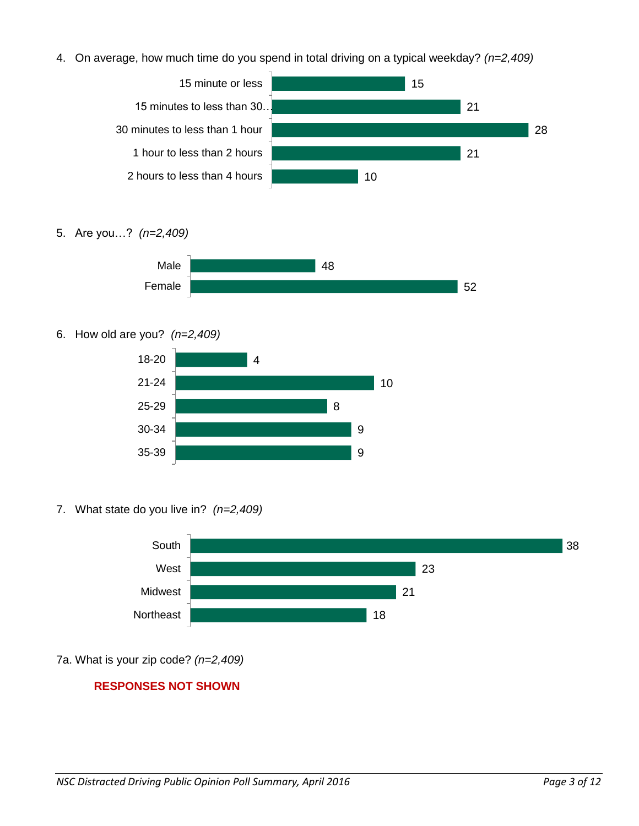4. On average, how much time do you spend in total driving on a typical weekday? *(n=2,409)*



5. Are you…? *(n=2,409)*



6. How old are you? *(n=2,409)*



7. What state do you live in? *(n=2,409)*



7a. What is your zip code? *(n=2,409)*

## **RESPONSES NOT SHOWN**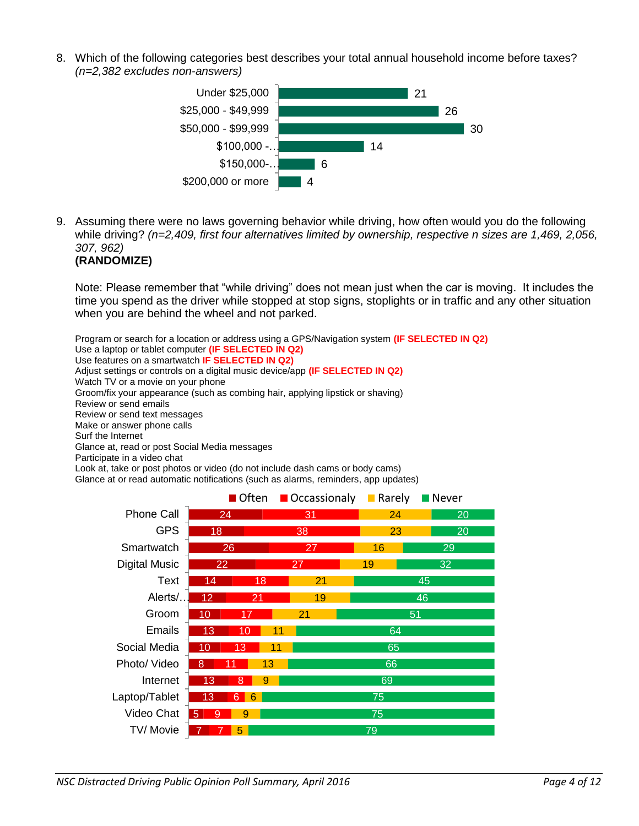8. Which of the following categories best describes your total annual household income before taxes? *(n=2,382 excludes non-answers)*



9. Assuming there were no laws governing behavior while driving, how often would you do the following while driving? *(n=2,409, first four alternatives limited by ownership, respective n sizes are 1,469, 2,056, 307, 962)*

```
(RANDOMIZE)
```
Note: Please remember that "while driving" does not mean just when the car is moving. It includes the time you spend as the driver while stopped at stop signs, stoplights or in traffic and any other situation when you are behind the wheel and not parked.

Program or search for a location or address using a GPS/Navigation system **(IF SELECTED IN Q2)** Use a laptop or tablet computer **(IF SELECTED IN Q2)** Use features on a smartwatch **IF SELECTED IN Q2)** Adjust settings or controls on a digital music device/app **(IF SELECTED IN Q2)** Watch TV or a movie on your phone Groom/fix your appearance (such as combing hair, applying lipstick or shaving) Review or send emails Review or send text messages Make or answer phone calls Surf the Internet Glance at, read or post Social Media messages Participate in a video chat Look at, take or post photos or video (do not include dash cams or body cams)

Glance at or read automatic notifications (such as alarms, reminders, app updates)

| $\blacksquare$ Often |                     |        | Occassionaly | <b>Rarely</b> | Never |  |  |  |  |  |
|----------------------|---------------------|--------|--------------|---------------|-------|--|--|--|--|--|
| <b>Phone Call</b>    | 24                  |        | 31           | 24            | 20    |  |  |  |  |  |
| <b>GPS</b>           | 18                  |        | 38           | 23            | 20    |  |  |  |  |  |
| Smartwatch           |                     | 26     | 27           | 16            | 29    |  |  |  |  |  |
| <b>Digital Music</b> | 22                  |        | 27           | 19            | 32    |  |  |  |  |  |
| Text                 | 14                  | 18     | 21           |               | 45    |  |  |  |  |  |
| Alerts/              | 12                  | 21     | 19           |               | 46    |  |  |  |  |  |
| Groom                | 10                  |        | 21           | 51            |       |  |  |  |  |  |
| <b>Emails</b>        | 13                  | 10     | 11           | 64            |       |  |  |  |  |  |
| Social Media         | 10                  | 13     | 11           | 65            |       |  |  |  |  |  |
| Photo/ Video         | 8                   | 13     |              | 66            |       |  |  |  |  |  |
| Internet             | 13                  | 8<br>9 |              | 69            |       |  |  |  |  |  |
| Laptop/Tablet        | 13                  | 6<br>6 |              | 75            |       |  |  |  |  |  |
| Video Chat           | 5 <sup>1</sup><br>9 | 9      |              | 75            |       |  |  |  |  |  |
| TV/Movie             |                     | 5      |              | 79            |       |  |  |  |  |  |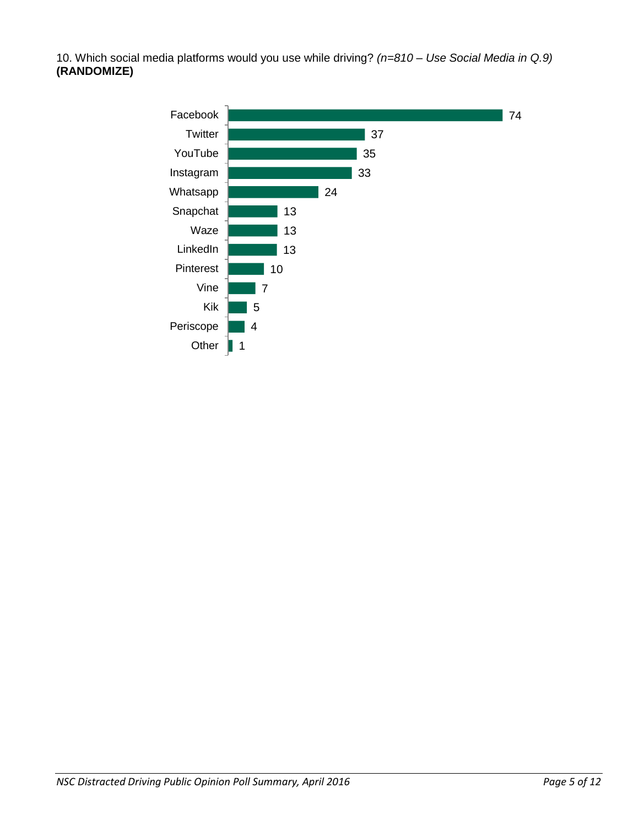10. Which social media platforms would you use while driving? *(n=810 – Use Social Media in Q.9)* **(RANDOMIZE)**

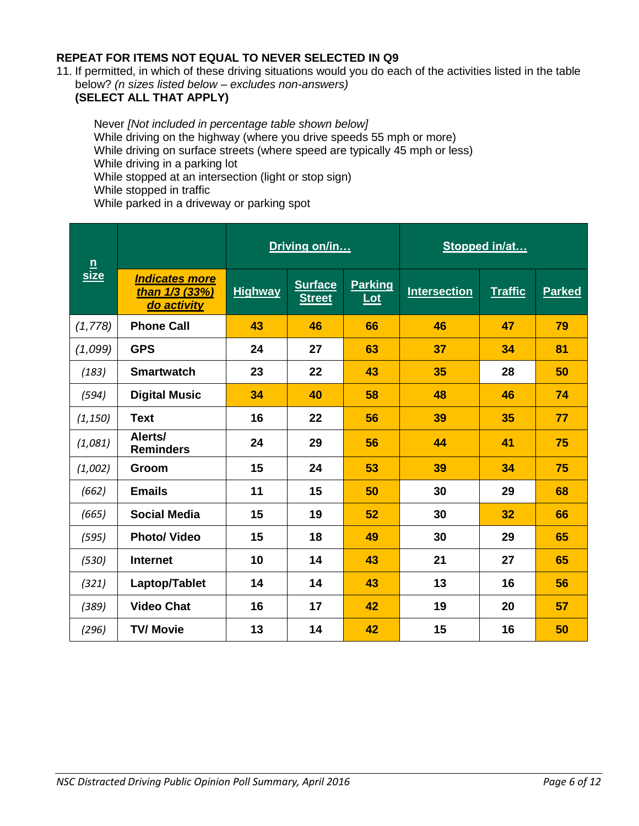## **REPEAT FOR ITEMS NOT EQUAL TO NEVER SELECTED IN Q9**

11. If permitted, in which of these driving situations would you do each of the activities listed in the table below? *(n sizes listed below – excludes non-answers)* **(SELECT ALL THAT APPLY)**

Never *[Not included in percentage table shown below]* While driving on the highway (where you drive speeds 55 mph or more) While driving on surface streets (where speed are typically 45 mph or less) While driving in a parking lot While stopped at an intersection (light or stop sign) While stopped in traffic While parked in a driveway or parking spot

| $\underline{n}$ |                                                        |                | Driving on/in                   |                         | Stopped in/at       |                |               |  |  |
|-----------------|--------------------------------------------------------|----------------|---------------------------------|-------------------------|---------------------|----------------|---------------|--|--|
| size            | <b>Indicates more</b><br>than 1/3 (33%)<br>do activity | <b>Highway</b> | <b>Surface</b><br><b>Street</b> | <b>Parking</b><br>$tot$ | <b>Intersection</b> | <b>Traffic</b> | <b>Parked</b> |  |  |
| (1,778)         | <b>Phone Call</b>                                      | 43             | 46                              | 66                      | 46                  | 47             | 79            |  |  |
| (1,099)         | <b>GPS</b>                                             | 24             | 27                              | 63                      | 37                  | 34             | 81            |  |  |
| (183)           | <b>Smartwatch</b>                                      | 23             | 22                              | 43                      | 35                  | 28             | 50            |  |  |
| (594)           | <b>Digital Music</b>                                   | 34             | 40                              | 58                      | 48                  | 46             | 74            |  |  |
| (1, 150)        | <b>Text</b>                                            | 16             | 22                              | 56                      | 39                  | 35             | 77            |  |  |
| (1,081)         | Alerts/<br><b>Reminders</b>                            | 24             | 29                              | 56                      | 44                  | 41             | 75            |  |  |
| (1,002)         | Groom                                                  | 15             | 24                              | 53                      | 39                  | 34             | 75            |  |  |
| (662)           | <b>Emails</b>                                          | 11             | 15                              | 50                      | 30                  | 29             | 68            |  |  |
| (665)           | <b>Social Media</b>                                    | 15             | 19                              | 52                      | 30                  | 32             | 66            |  |  |
| (595)           | <b>Photo/ Video</b>                                    | 15             | 18                              | 49                      | 30                  | 29             | 65            |  |  |
| (530)           | <b>Internet</b>                                        | 10             | 14                              | 43                      | 21                  | 27             | 65            |  |  |
| (321)           | Laptop/Tablet                                          | 14             | 14                              | 43                      | 13                  | 16             | 56            |  |  |
| (389)           | <b>Video Chat</b>                                      | 16             | 17                              | 42                      | 19                  | 20             | 57            |  |  |
| (296)           | <b>TV/ Movie</b>                                       | 13             | 14                              | 42                      | 15                  | 16             | 50            |  |  |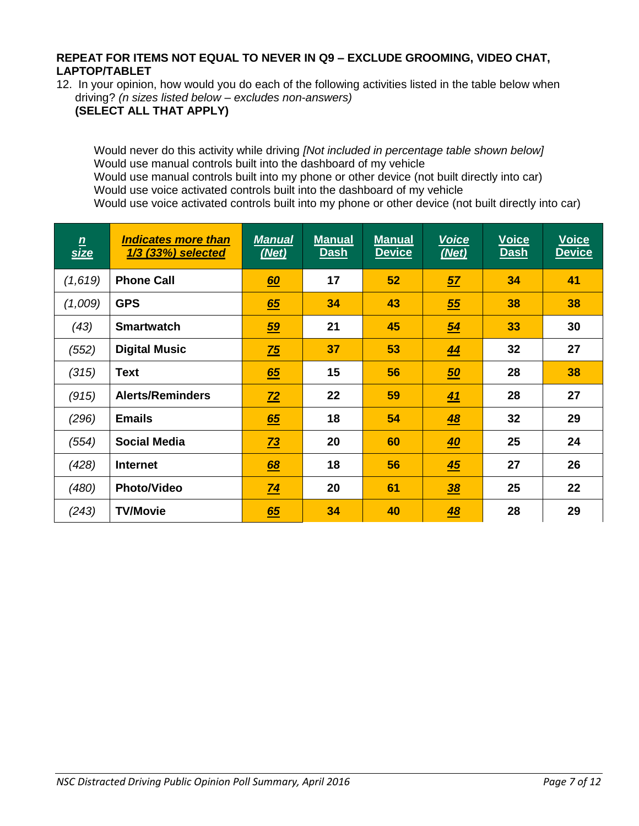#### **REPEAT FOR ITEMS NOT EQUAL TO NEVER IN Q9 – EXCLUDE GROOMING, VIDEO CHAT, LAPTOP/TABLET**

12. In your opinion, how would you do each of the following activities listed in the table below when driving? *(n sizes listed below – excludes non-answers)*

**(SELECT ALL THAT APPLY)**

Would never do this activity while driving *[Not included in percentage table shown below]* Would use manual controls built into the dashboard of my vehicle Would use manual controls built into my phone or other device (not built directly into car) Would use voice activated controls built into the dashboard of my vehicle Would use voice activated controls built into my phone or other device (not built directly into car)

| $\frac{n}{size}$ | <b>Indicates more than</b><br>1/3 (33%) selected | <b>Manual</b><br>(Net) | <b>Manual</b><br><b>Dash</b> | <b>Manual</b><br><b>Device</b> | <b>Voice</b><br>(Net) | <b>Voice</b><br><b>Dash</b> | <b>Voice</b><br><b>Device</b> |
|------------------|--------------------------------------------------|------------------------|------------------------------|--------------------------------|-----------------------|-----------------------------|-------------------------------|
| (1,619)          | <b>Phone Call</b>                                | 60                     | 17                           | 52                             | 57                    | 34                          | 41                            |
| (1,009)          | <b>GPS</b>                                       | 65                     | 34                           | 43                             | 55                    | 38                          | 38                            |
| (43)             | <b>Smartwatch</b>                                | 59                     | 21                           | 45                             | $\underline{54}$      | 33                          | 30                            |
| (552)            | <b>Digital Music</b>                             | $\frac{75}{2}$         | 37                           | 53                             | 44                    | 32                          | 27                            |
| (315)            | <b>Text</b>                                      | 65                     | 15                           | 56                             | 50                    | 28                          | 38                            |
| (915)            | <b>Alerts/Reminders</b>                          | $Z^2$                  | 22                           | 59                             | 41                    | 28                          | 27                            |
| (296)            | <b>Emails</b>                                    | 65                     | 18                           | 54                             | 48                    | 32                          | 29                            |
| (554)            | <b>Social Media</b>                              | $\overline{73}$        | 20                           | 60                             | <u>40</u>             | 25                          | 24                            |
| (428)            | <b>Internet</b>                                  | <u>68</u>              | 18                           | 56                             | 45                    | 27                          | 26                            |
| (480)            | <b>Photo/Video</b>                               | $\overline{74}$        | 20                           | 61                             | $\frac{38}{5}$        | 25                          | 22                            |
| (243)            | <b>TV/Movie</b>                                  | 65                     | 34                           | 40                             | 48                    | 28                          | 29                            |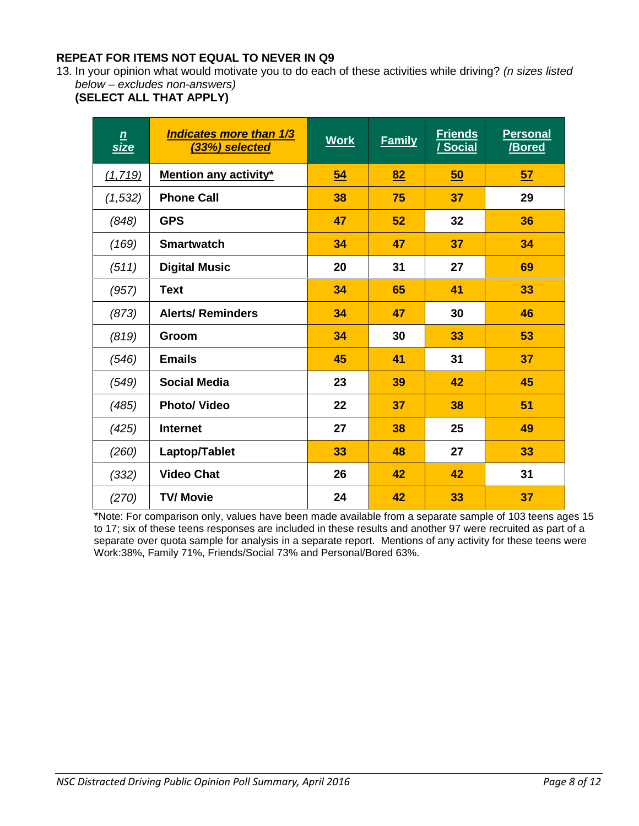## **REPEAT FOR ITEMS NOT EQUAL TO NEVER IN Q9**

13. In your opinion what would motivate you to do each of these activities while driving? *(n sizes listed below – excludes non-answers)*

**(SELECT ALL THAT APPLY)**

| $\underline{\mathbf{n}}$<br>size | <b>Indicates more than 1/3</b><br>(33%) selected | <b>Work</b> | <b>Family</b> | <b>Friends</b><br><u>/ Social</u> | <b>Personal</b><br>/Bored |
|----------------------------------|--------------------------------------------------|-------------|---------------|-----------------------------------|---------------------------|
| (1, 719)                         | <b>Mention any activity*</b>                     | 54          | 82            | 50                                | 57                        |
| (1, 532)                         | <b>Phone Call</b>                                | 38          | 75            | 37                                | 29                        |
| (848)                            | <b>GPS</b>                                       | 47          | 52            | 32                                | 36                        |
| (169)                            | <b>Smartwatch</b>                                | 34          | 47            | 37                                | 34                        |
| (511)                            | <b>Digital Music</b>                             | 20          | 31            | 27                                | 69                        |
| (957)                            | <b>Text</b>                                      | 34          | 65            | 41                                | 33                        |
| (873)                            | <b>Alerts/ Reminders</b>                         | 34          | 47            | 30                                | 46                        |
| (819)                            | Groom                                            | 34          | 30            | 33                                | 53                        |
| (546)                            | <b>Emails</b>                                    | 45          | 41            | 31                                | 37                        |
| (549)                            | Social Media                                     | 23          | 39            | 42                                | 45                        |
| (485)                            | <b>Photo/ Video</b>                              | 22          | 37            | 38                                | 51                        |
| (425)                            | <b>Internet</b>                                  | 27          | 38            | 25                                | 49                        |
| (260)                            | Laptop/Tablet                                    | 33          | 48            | 27                                | 33                        |
| (332)                            | <b>Video Chat</b>                                | 26          | 42            | 42                                | 31                        |
| (270)                            | <b>TV/ Movie</b>                                 | 24          | 42            | 33                                | 37                        |

\*Note: For comparison only, values have been made available from a separate sample of 103 teens ages 15 to 17; six of these teens responses are included in these results and another 97 were recruited as part of a separate over quota sample for analysis in a separate report. Mentions of any activity for these teens were Work:38%, Family 71%, Friends/Social 73% and Personal/Bored 63%.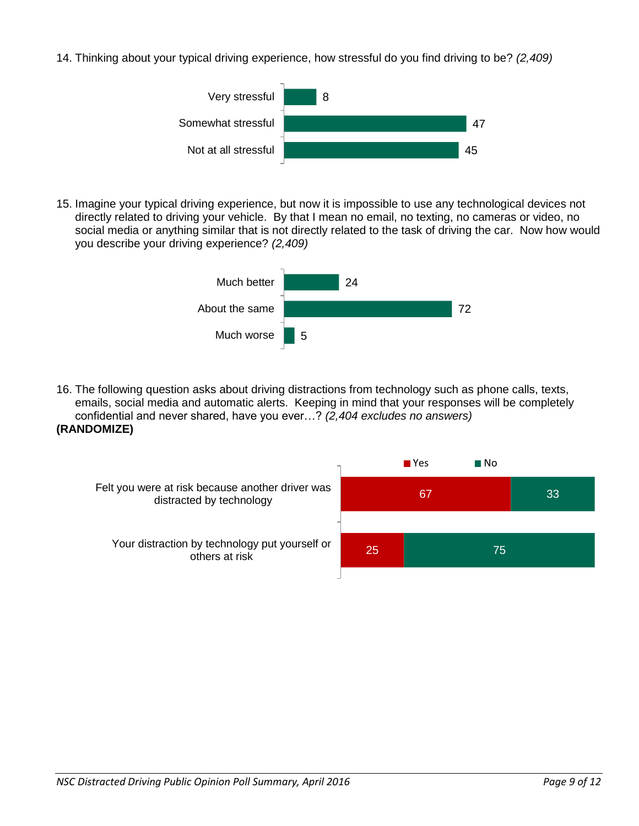14. Thinking about your typical driving experience, how stressful do you find driving to be? *(2,409)*



15. Imagine your typical driving experience, but now it is impossible to use any technological devices not directly related to driving your vehicle. By that I mean no email, no texting, no cameras or video, no social media or anything similar that is not directly related to the task of driving the car. Now how would you describe your driving experience? *(2,409)*



16. The following question asks about driving distractions from technology such as phone calls, texts, emails, social media and automatic alerts. Keeping in mind that your responses will be completely confidential and never shared, have you ever…? *(2,404 excludes no answers)* **(RANDOMIZE)**

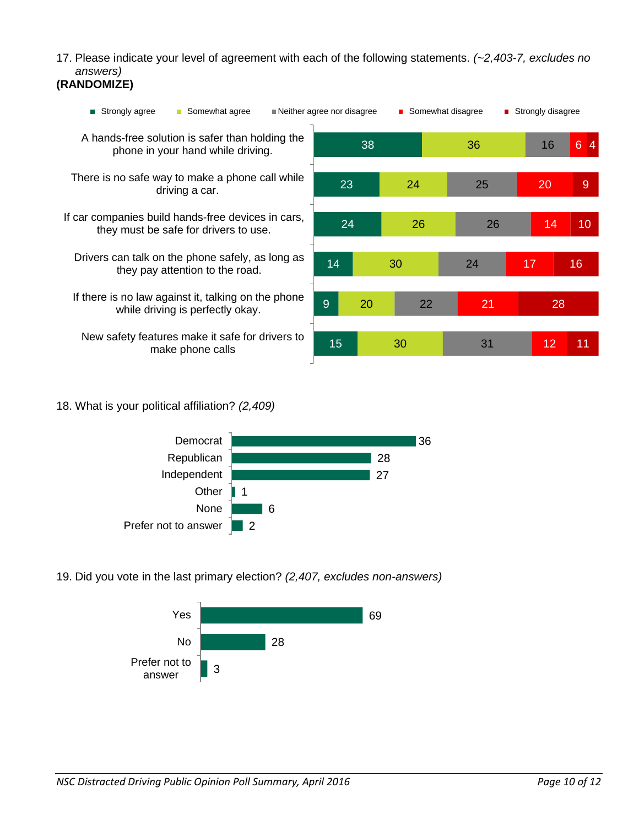17. Please indicate your level of agreement with each of the following statements. *(~2,403-7, excludes no answers)*

## **(RANDOMIZE)**

| Neither agree nor disagree<br>■ Strongly agree<br>Somewhat agree<br><b>The State</b>        |    |    | ■ Somewhat disagree |  |    | ■ Strongly disagree |    |                      |
|---------------------------------------------------------------------------------------------|----|----|---------------------|--|----|---------------------|----|----------------------|
| A hands-free solution is safer than holding the<br>phone in your hand while driving.        |    | 38 |                     |  | 36 |                     | 16 | $6\phantom{a}$<br> 4 |
| There is no safe way to make a phone call while<br>driving a car.                           | 23 |    | 24                  |  | 25 |                     | 20 | 9                    |
| If car companies build hands-free devices in cars,<br>they must be safe for drivers to use. | 24 | 26 |                     |  | 26 |                     | 14 | 10                   |
| Drivers can talk on the phone safely, as long as<br>they pay attention to the road.         | 14 |    | 30                  |  | 24 |                     | 17 | 16                   |
| If there is no law against it, talking on the phone<br>while driving is perfectly okay.     | 9  | 20 | 22                  |  | 21 |                     | 28 |                      |
| New safety features make it safe for drivers to<br>make phone calls                         | 15 |    | 30                  |  | 31 |                     | 12 | 11                   |

18. What is your political affiliation? *(2,409)*



19. Did you vote in the last primary election? *(2,407, excludes non-answers)*

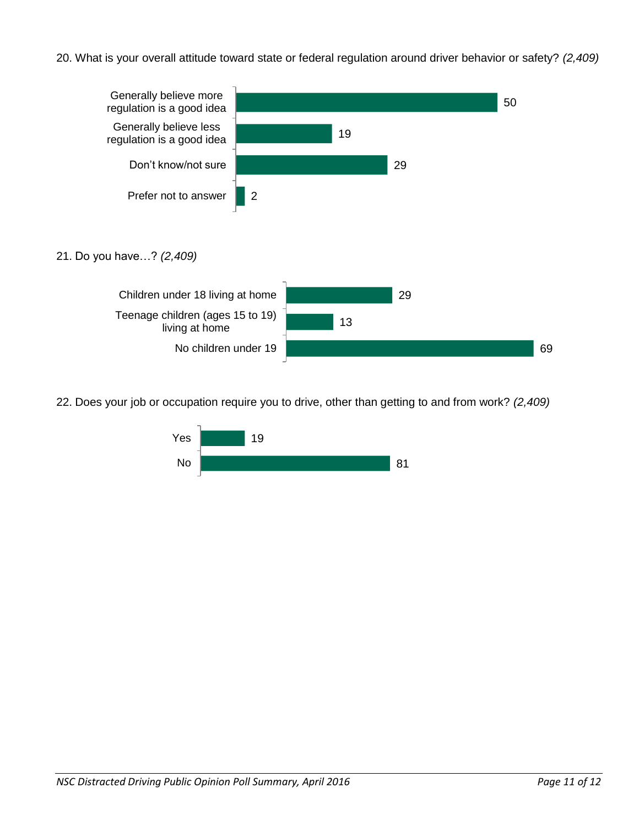20. What is your overall attitude toward state or federal regulation around driver behavior or safety? *(2,409)*



22. Does your job or occupation require you to drive, other than getting to and from work? *(2,409)*